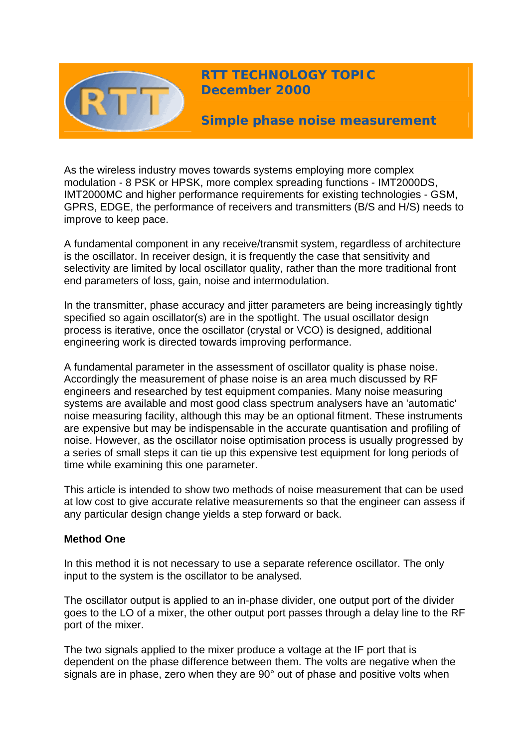

As the wireless industry moves towards systems employing more complex modulation - 8 PSK or HPSK, more complex spreading functions - IMT2000DS, IMT2000MC and higher performance requirements for existing technologies - GSM, GPRS, EDGE, the performance of receivers and transmitters (B/S and H/S) needs to improve to keep pace.

A fundamental component in any receive/transmit system, regardless of architecture is the oscillator. In receiver design, it is frequently the case that sensitivity and selectivity are limited by local oscillator quality, rather than the more traditional front end parameters of loss, gain, noise and intermodulation.

In the transmitter, phase accuracy and jitter parameters are being increasingly tightly specified so again oscillator(s) are in the spotlight. The usual oscillator design process is iterative, once the oscillator (crystal or VCO) is designed, additional engineering work is directed towards improving performance.

A fundamental parameter in the assessment of oscillator quality is phase noise. Accordingly the measurement of phase noise is an area much discussed by RF engineers and researched by test equipment companies. Many noise measuring systems are available and most good class spectrum analysers have an 'automatic' noise measuring facility, although this may be an optional fitment. These instruments are expensive but may be indispensable in the accurate quantisation and profiling of noise. However, as the oscillator noise optimisation process is usually progressed by a series of small steps it can tie up this expensive test equipment for long periods of time while examining this one parameter.

This article is intended to show two methods of noise measurement that can be used at low cost to give accurate relative measurements so that the engineer can assess if any particular design change yields a step forward or back.

## **Method One**

In this method it is not necessary to use a separate reference oscillator. The only input to the system is the oscillator to be analysed.

The oscillator output is applied to an in-phase divider, one output port of the divider goes to the LO of a mixer, the other output port passes through a delay line to the RF port of the mixer.

The two signals applied to the mixer produce a voltage at the IF port that is dependent on the phase difference between them. The volts are negative when the signals are in phase, zero when they are 90° out of phase and positive volts when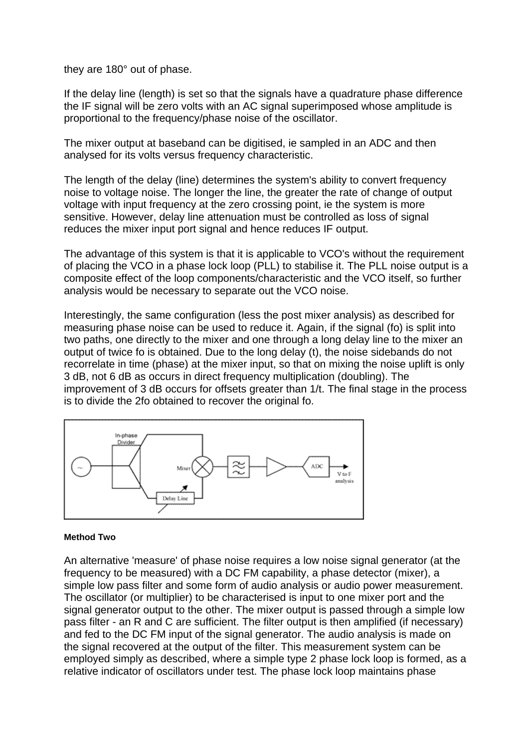they are 180° out of phase.

If the delay line (length) is set so that the signals have a quadrature phase difference the IF signal will be zero volts with an AC signal superimposed whose amplitude is proportional to the frequency/phase noise of the oscillator.

The mixer output at baseband can be digitised, ie sampled in an ADC and then analysed for its volts versus frequency characteristic.

The length of the delay (line) determines the system's ability to convert frequency noise to voltage noise. The longer the line, the greater the rate of change of output voltage with input frequency at the zero crossing point, ie the system is more sensitive. However, delay line attenuation must be controlled as loss of signal reduces the mixer input port signal and hence reduces IF output.

The advantage of this system is that it is applicable to VCO's without the requirement of placing the VCO in a phase lock loop (PLL) to stabilise it. The PLL noise output is a composite effect of the loop components/characteristic and the VCO itself, so further analysis would be necessary to separate out the VCO noise.

Interestingly, the same configuration (less the post mixer analysis) as described for measuring phase noise can be used to reduce it. Again, if the signal (fo) is split into two paths, one directly to the mixer and one through a long delay line to the mixer an output of twice fo is obtained. Due to the long delay (t), the noise sidebands do not recorrelate in time (phase) at the mixer input, so that on mixing the noise uplift is only 3 dB, not 6 dB as occurs in direct frequency multiplication (doubling). The improvement of 3 dB occurs for offsets greater than 1/t. The final stage in the process is to divide the 2fo obtained to recover the original fo.



## **Method Two**

An alternative 'measure' of phase noise requires a low noise signal generator (at the frequency to be measured) with a DC FM capability, a phase detector (mixer), a simple low pass filter and some form of audio analysis or audio power measurement. The oscillator (or multiplier) to be characterised is input to one mixer port and the signal generator output to the other. The mixer output is passed through a simple low pass filter - an R and C are sufficient. The filter output is then amplified (if necessary) and fed to the DC FM input of the signal generator. The audio analysis is made on the signal recovered at the output of the filter. This measurement system can be employed simply as described, where a simple type 2 phase lock loop is formed, as a relative indicator of oscillators under test. The phase lock loop maintains phase